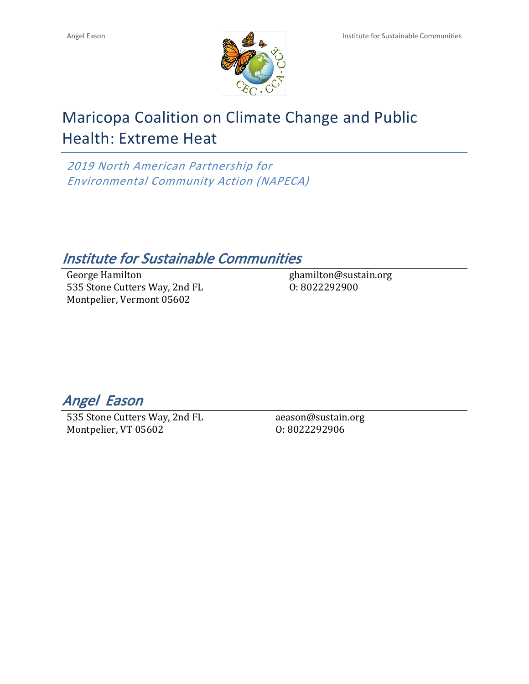

# Maricopa Coalition on Climate Change and Public Health: Extreme Heat

*2019 North American Partnership for Environmental Community Action (NAPECA)*

# *Institute for Sustainable Communities*

George Hamilton 535 Stone Cutters Way, 2nd FL Montpelier, Vermont 05602

ghamilton@sustain.org O: 8022292900

*Angel Eason* 

535 Stone Cutters Way, 2nd FL Montpelier, VT 05602

aeason@sustain.org O: 8022292906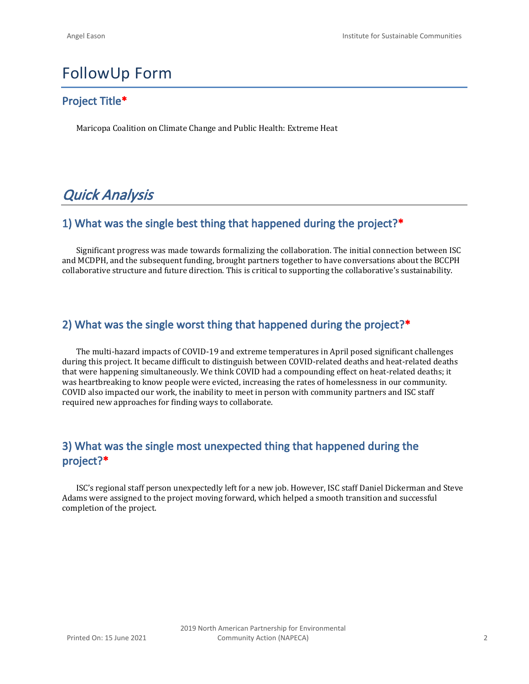# FollowUp Form

## **Project Title\***

Maricopa Coalition on Climate Change and Public Health: Extreme Heat

# *Quick Analysis*

## **1) What was the single best thing that happened during the project?\***

Significant progress was made towards formalizing the collaboration. The initial connection between ISC and MCDPH, and the subsequent funding, brought partners together to have conversations about the BCCPH collaborative structure and future direction. This is critical to supporting the collaborative's sustainability.

## **2) What was the single worst thing that happened during the project?\***

The multi-hazard impacts of COVID-19 and extreme temperatures in April posed significant challenges during this project. It became difficult to distinguish between COVID-related deaths and heat-related deaths that were happening simultaneously. We think COVID had a compounding effect on heat-related deaths; it was heartbreaking to know people were evicted, increasing the rates of homelessness in our community. COVID also impacted our work, the inability to meet in person with community partners and ISC staff required new approaches for finding ways to collaborate.

# **3) What was the single most unexpected thing that happened during the project?\***

ISC's regional staff person unexpectedly left for a new job. However, ISC staff Daniel Dickerman and Steve Adams were assigned to the project moving forward, which helped a smooth transition and successful completion of the project.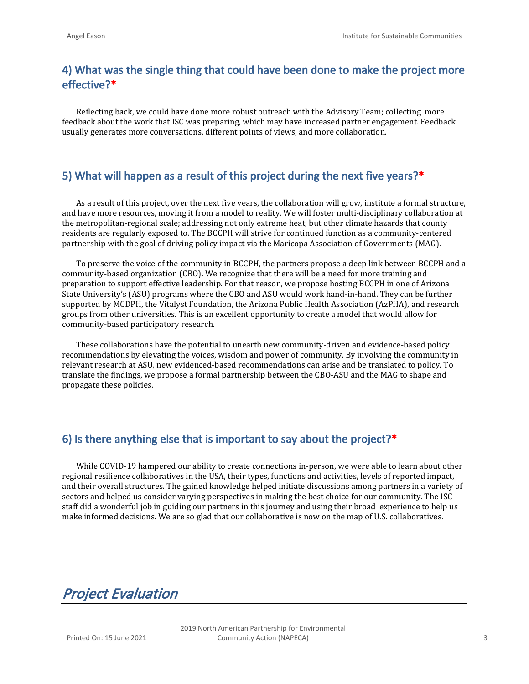### **4) What was the single thing that could have been done to make the project more effective?\***

Reflecting back, we could have done more robust outreach with the Advisory Team; collecting more feedback about the work that ISC was preparing, which may have increased partner engagement. Feedback usually generates more conversations, different points of views, and more collaboration.

#### **5) What will happen as a result of this project during the next five years?\***

As a result of this project, over the next five years, the collaboration will grow, institute a formal structure, and have more resources, moving it from a model to reality. We will foster multi-disciplinary collaboration at the metropolitan-regional scale; addressing not only extreme heat, but other climate hazards that county residents are regularly exposed to. The BCCPH will strive for continued function as a community-centered partnership with the goal of driving policy impact via the Maricopa Association of Governments (MAG).

To preserve the voice of the community in BCCPH, the partners propose a deep link between BCCPH and a community-based organization (CBO). We recognize that there will be a need for more training and preparation to support effective leadership. For that reason, we propose hosting BCCPH in one of Arizona State University's (ASU) programs where the CBO and ASU would work hand-in-hand. They can be further supported by MCDPH, the Vitalyst Foundation, the Arizona Public Health Association (AzPHA), and research groups from other universities. This is an excellent opportunity to create a model that would allow for community-based participatory research.

These collaborations have the potential to unearth new community-driven and evidence-based policy recommendations by elevating the voices, wisdom and power of community. By involving the community in relevant research at ASU, new evidenced-based recommendations can arise and be translated to policy. To translate the findings, we propose a formal partnership between the CBO-ASU and the MAG to shape and propagate these policies.

#### **6) Is there anything else that is important to say about the project?\***

While COVID-19 hampered our ability to create connections in-person, we were able to learn about other regional resilience collaboratives in the USA, their types, functions and activities, levels of reported impact, and their overall structures. The gained knowledge helped initiate discussions among partners in a variety of sectors and helped us consider varying perspectives in making the best choice for our community. The ISC staff did a wonderful job in guiding our partners in this journey and using their broad experience to help us make informed decisions. We are so glad that our collaborative is now on the map of U.S. collaboratives.

*Project Evaluation*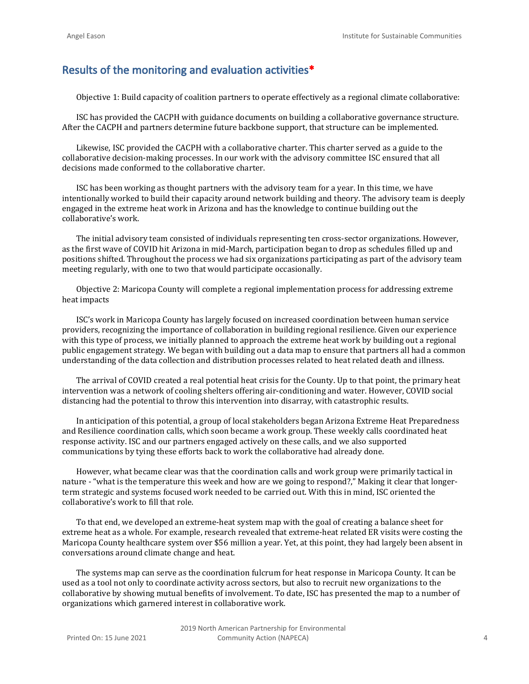#### **Results of the monitoring and evaluation activities\***

Objective 1: Build capacity of coalition partners to operate effectively as a regional climate collaborative:

ISC has provided the CACPH with guidance documents on building a collaborative governance structure. After the CACPH and partners determine future backbone support, that structure can be implemented.

Likewise, ISC provided the CACPH with a collaborative charter. This charter served as a guide to the collaborative decision-making processes. In our work with the advisory committee ISC ensured that all decisions made conformed to the collaborative charter.

ISC has been working as thought partners with the advisory team for a year. In this time, we have intentionally worked to build their capacity around network building and theory. The advisory team is deeply engaged in the extreme heat work in Arizona and has the knowledge to continue building out the collaborative's work.

The initial advisory team consisted of individuals representing ten cross-sector organizations. However, as the first wave of COVID hit Arizona in mid-March, participation began to drop as schedules filled up and positions shifted. Throughout the process we had six organizations participating as part of the advisory team meeting regularly, with one to two that would participate occasionally.

Objective 2: Maricopa County will complete a regional implementation process for addressing extreme heat impacts

ISC's work in Maricopa County has largely focused on increased coordination between human service providers, recognizing the importance of collaboration in building regional resilience. Given our experience with this type of process, we initially planned to approach the extreme heat work by building out a regional public engagement strategy. We began with building out a data map to ensure that partners all had a common understanding of the data collection and distribution processes related to heat related death and illness.

The arrival of COVID created a real potential heat crisis for the County. Up to that point, the primary heat intervention was a network of cooling shelters offering air-conditioning and water. However, COVID social distancing had the potential to throw this intervention into disarray, with catastrophic results.

In anticipation of this potential, a group of local stakeholders began Arizona Extreme Heat Preparedness and Resilience coordination calls, which soon became a work group. These weekly calls coordinated heat response activity. ISC and our partners engaged actively on these calls, and we also supported communications by tying these efforts back to work the collaborative had already done.

However, what became clear was that the coordination calls and work group were primarily tactical in nature - "what is the temperature this week and how are we going to respond?," Making it clear that longerterm strategic and systems focused work needed to be carried out. With this in mind, ISC oriented the collaborative's work to fill that role.

To that end, we developed an extreme-heat system map with the goal of creating a balance sheet for extreme heat as a whole. For example, research revealed that extreme-heat related ER visits were costing the Maricopa County healthcare system over \$56 million a year. Yet, at this point, they had largely been absent in conversations around climate change and heat.

The systems map can serve as the coordination fulcrum for heat response in Maricopa County. It can be used as a tool not only to coordinate activity across sectors, but also to recruit new organizations to the collaborative by showing mutual benefits of involvement. To date, ISC has presented the map to a number of organizations which garnered interest in collaborative work.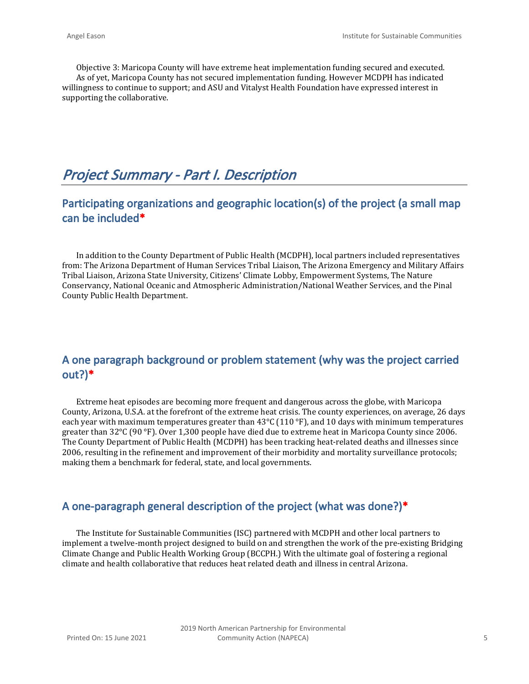Objective 3: Maricopa County will have extreme heat implementation funding secured and executed. As of yet, Maricopa County has not secured implementation funding. However MCDPH has indicated willingness to continue to support; and ASU and Vitalyst Health Foundation have expressed interest in supporting the collaborative.

# *Project Summary - Part I. Description*

## **Participating organizations and geographic location(s) of the project (a small map can be included\***

In addition to the County Department of Public Health (MCDPH), local partners included representatives from: The Arizona Department of Human Services Tribal Liaison, The Arizona Emergency and Military Affairs Tribal Liaison, Arizona State University, Citizens' Climate Lobby, Empowerment Systems, The Nature Conservancy, National Oceanic and Atmospheric Administration/National Weather Services, and the Pinal County Public Health Department.

### **A one paragraph background or problem statement (why was the project carried out?)\***

Extreme heat episodes are becoming more frequent and dangerous across the globe, with Maricopa County, Arizona, U.S.A. at the forefront of the extreme heat crisis. The county experiences, on average, 26 days each year with maximum temperatures greater than 43°C (110 °F), and 10 days with minimum temperatures greater than 32°C (90 °F). Over 1,300 people have died due to extreme heat in Maricopa County since 2006. The County Department of Public Health (MCDPH) has been tracking heat-related deaths and illnesses since 2006, resulting in the refinement and improvement of their morbidity and mortality surveillance protocols; making them a benchmark for federal, state, and local governments.

#### **A one-paragraph general description of the project (what was done?)\***

The Institute for Sustainable Communities (ISC) partnered with MCDPH and other local partners to implement a twelve-month project designed to build on and strengthen the work of the pre-existing Bridging Climate Change and Public Health Working Group (BCCPH.) With the ultimate goal of fostering a regional climate and health collaborative that reduces heat related death and illness in central Arizona.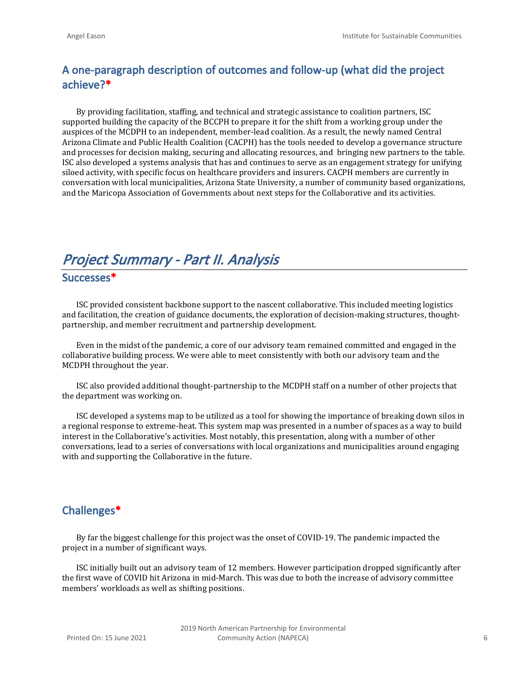# **A one-paragraph description of outcomes and follow-up (what did the project achieve?\***

By providing facilitation, staffing, and technical and strategic assistance to coalition partners, ISC supported building the capacity of the BCCPH to prepare it for the shift from a working group under the auspices of the MCDPH to an independent, member-lead coalition. As a result, the newly named Central Arizona Climate and Public Health Coalition (CACPH) has the tools needed to develop a governance structure and processes for decision making, securing and allocating resources, and bringing new partners to the table. ISC also developed a systems analysis that has and continues to serve as an engagement strategy for unifying siloed activity, with specific focus on healthcare providers and insurers. CACPH members are currently in conversation with local municipalities, Arizona State University, a number of community based organizations, and the Maricopa Association of Governments about next steps for the Collaborative and its activities.

# *Project Summary - Part II. Analysis*

**Successes\***

ISC provided consistent backbone support to the nascent collaborative. This included meeting logistics and facilitation, the creation of guidance documents, the exploration of decision-making structures, thoughtpartnership, and member recruitment and partnership development.

Even in the midst of the pandemic, a core of our advisory team remained committed and engaged in the collaborative building process. We were able to meet consistently with both our advisory team and the MCDPH throughout the year.

ISC also provided additional thought-partnership to the MCDPH staff on a number of other projects that the department was working on.

ISC developed a systems map to be utilized as a tool for showing the importance of breaking down silos in a regional response to extreme-heat. This system map was presented in a number of spaces as a way to build interest in the Collaborative's activities. Most notably, this presentation, along with a number of other conversations, lead to a series of conversations with local organizations and municipalities around engaging with and supporting the Collaborative in the future.

#### **Challenges\***

By far the biggest challenge for this project was the onset of COVID-19. The pandemic impacted the project in a number of significant ways.

ISC initially built out an advisory team of 12 members. However participation dropped significantly after the first wave of COVID hit Arizona in mid-March. This was due to both the increase of advisory committee members' workloads as well as shifting positions.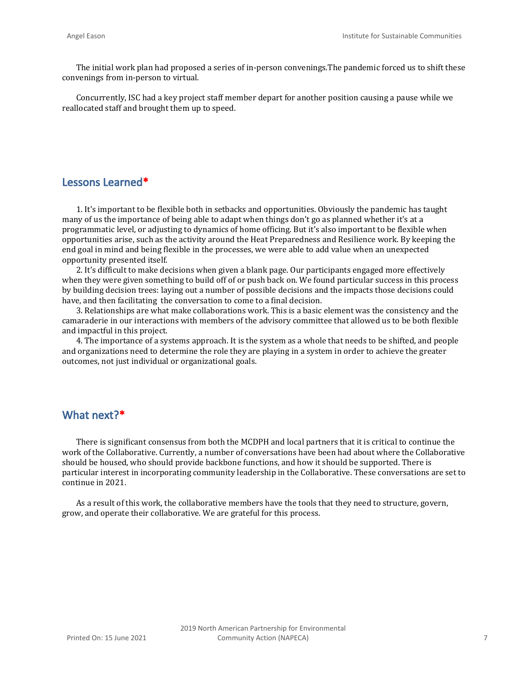The initial work plan had proposed a series of in-person convenings.The pandemic forced us to shift these convenings from in-person to virtual.

Concurrently, ISC had a key project staff member depart for another position causing a pause while we reallocated staff and brought them up to speed.

#### **Lessons Learned\***

1. It's important to be flexible both in setbacks and opportunities. Obviously the pandemic has taught many of us the importance of being able to adapt when things don't go as planned whether it's at a programmatic level, or adjusting to dynamics of home officing. But it's also important to be flexible when opportunities arise, such as the activity around the Heat Preparedness and Resilience work. By keeping the end goal in mind and being flexible in the processes, we were able to add value when an unexpected opportunity presented itself.

2. It's difficult to make decisions when given a blank page. Our participants engaged more effectively when they were given something to build off of or push back on. We found particular success in this process by building decision trees: laying out a number of possible decisions and the impacts those decisions could have, and then facilitating the conversation to come to a final decision.

3. Relationships are what make collaborations work. This is a basic element was the consistency and the camaraderie in our interactions with members of the advisory committee that allowed us to be both flexible and impactful in this project.

4. The importance of a systems approach. It is the system as a whole that needs to be shifted, and people and organizations need to determine the role they are playing in a system in order to achieve the greater outcomes, not just individual or organizational goals.

#### **What next?\***

There is significant consensus from both the MCDPH and local partners that it is critical to continue the work of the Collaborative. Currently, a number of conversations have been had about where the Collaborative should be housed, who should provide backbone functions, and how it should be supported. There is particular interest in incorporating community leadership in the Collaborative. These conversations are set to continue in 2021.

As a result of this work, the collaborative members have the tools that they need to structure, govern, grow, and operate their collaborative. We are grateful for this process.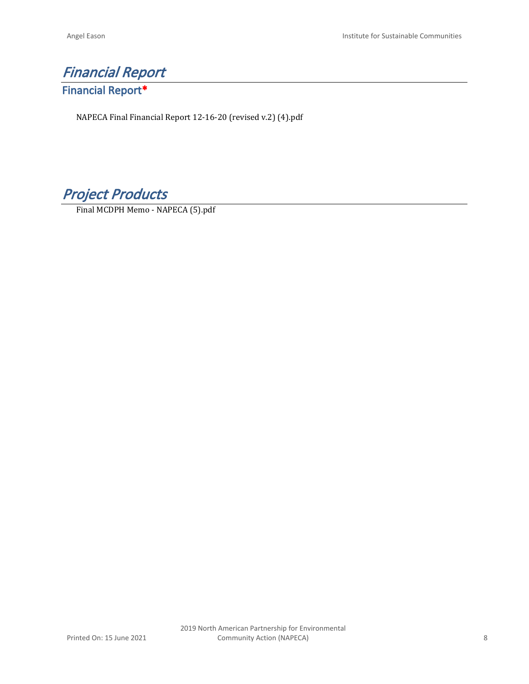# *Financial Report* **Financial Report\***

NAPECA Final Financial Report 12-16-20 (revised v.2) (4).pdf

*Project Products*

Final MCDPH Memo - NAPECA (5).pdf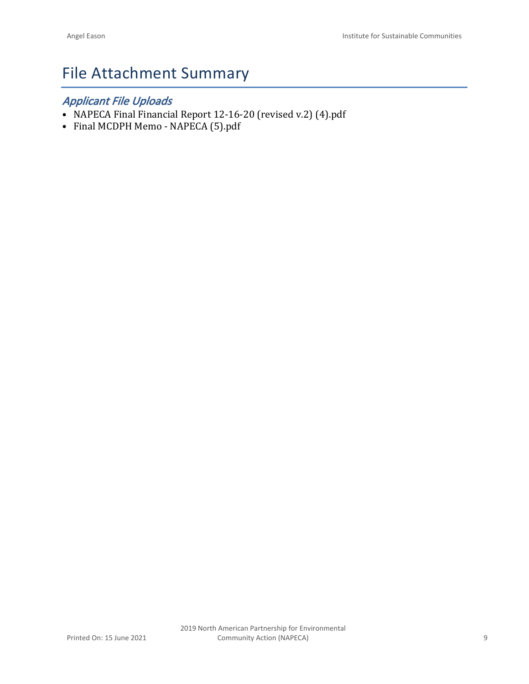# File Attachment Summary

# *Applicant File Uploads*

- NAPECA Final Financial Report 12-16-20 (revised v.2) (4).pdf
- Final MCDPH Memo NAPECA (5).pdf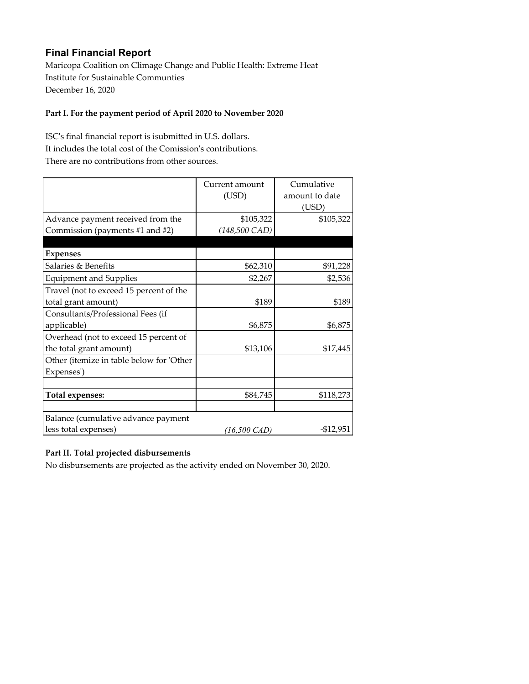### **Final Financial Report**

Maricopa Coalition on Climage Change and Public Health: Extreme Heat Institute for Sustainable Communties December 16, 2020

#### **Part I. For the payment period of April 2020 to November 2020**

ISC's final financial report is isubmitted in U.S. dollars. It includes the total cost of the Comission's contributions. There are no contributions from other sources.

|                                          | Current amount<br>(USD)  | Cumulative<br>amount to date<br>(USD) |
|------------------------------------------|--------------------------|---------------------------------------|
| Advance payment received from the        | \$105,322                | \$105,322                             |
| Commission (payments #1 and #2)          | $(148,500 \text{ } CAD)$ |                                       |
|                                          |                          |                                       |
| <b>Expenses</b>                          |                          |                                       |
| Salaries & Benefits                      | \$62,310                 | \$91,228                              |
| <b>Equipment and Supplies</b>            | \$2,267                  | \$2,536                               |
| Travel (not to exceed 15 percent of the  |                          |                                       |
| total grant amount)                      | \$189                    | \$189                                 |
| Consultants/Professional Fees (if        |                          |                                       |
| applicable)                              | \$6,875                  | \$6,875                               |
| Overhead (not to exceed 15 percent of    |                          |                                       |
| the total grant amount)                  | \$13,106                 | \$17,445                              |
| Other (itemize in table below for 'Other |                          |                                       |
| Expenses')                               |                          |                                       |
|                                          |                          |                                       |
| <b>Total expenses:</b>                   | \$84,745                 | \$118,273                             |
|                                          |                          |                                       |
| Balance (cumulative advance payment      |                          |                                       |
| less total expenses)                     | (16,500 CAD)             | $-$12,951$                            |

#### **Part II. Total projected disbursements**

No disbursements are projected as the activity ended on November 30, 2020.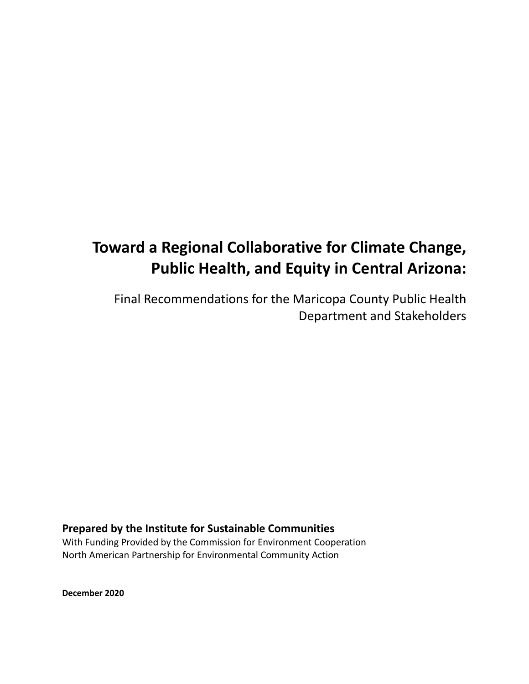# **Toward a Regional Collaborative for Climate Change, Public Health, and Equity in Central Arizona:**

Final Recommendations for the Maricopa County Public Health Department and Stakeholders

### **Prepared by the Institute for Sustainable Communities**

With Funding Provided by the Commission for Environment Cooperation North American Partnership for Environmental Community Action

**December 2020**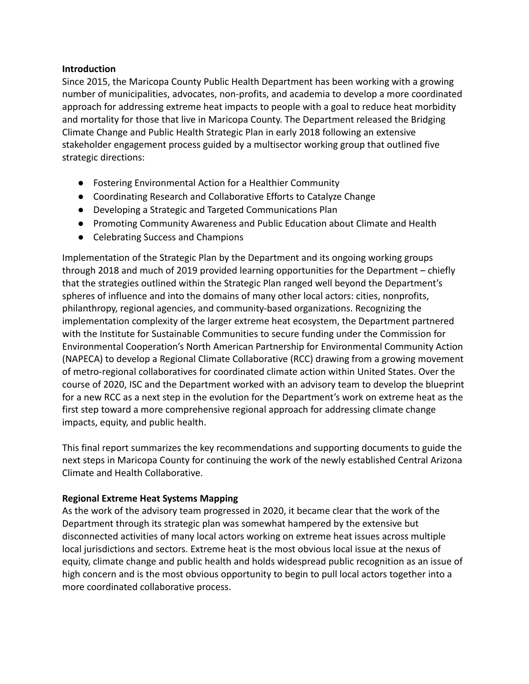#### **Introduction**

Since 2015, the Maricopa County Public Health Department has been working with a growing number of municipalities, advocates, non-profits, and academia to develop a more coordinated approach for addressing extreme heat impacts to people with a goal to reduce heat morbidity and mortality for those that live in Maricopa County. The Department released the Bridging Climate Change and Public Health Strategic Plan in early 2018 following an extensive stakeholder engagement process guided by a multisector working group that outlined five strategic directions:

- Fostering Environmental Action for a Healthier Community
- Coordinating Research and Collaborative Efforts to Catalyze Change
- Developing a Strategic and Targeted Communications Plan
- Promoting Community Awareness and Public Education about Climate and Health
- Celebrating Success and Champions

Implementation of the Strategic Plan by the Department and its ongoing working groups through 2018 and much of 2019 provided learning opportunities for the Department – chiefly that the strategies outlined within the Strategic Plan ranged well beyond the Department's spheres of influence and into the domains of many other local actors: cities, nonprofits, philanthropy, regional agencies, and community-based organizations. Recognizing the implementation complexity of the larger extreme heat ecosystem, the Department partnered with the Institute for Sustainable Communities to secure funding under the Commission for Environmental Cooperation's North American Partnership for Environmental Community Action (NAPECA) to develop a Regional Climate Collaborative (RCC) drawing from a growing movement of metro-regional collaboratives for coordinated climate action within United States. Over the course of 2020, ISC and the Department worked with an advisory team to develop the blueprint for a new RCC as a next step in the evolution for the Department's work on extreme heat as the first step toward a more comprehensive regional approach for addressing climate change impacts, equity, and public health.

This final report summarizes the key recommendations and supporting documents to guide the next steps in Maricopa County for continuing the work of the newly established Central Arizona Climate and Health Collaborative.

#### **Regional Extreme Heat Systems Mapping**

As the work of the advisory team progressed in 2020, it became clear that the work of the Department through its strategic plan was somewhat hampered by the extensive but disconnected activities of many local actors working on extreme heat issues across multiple local jurisdictions and sectors. Extreme heat is the most obvious local issue at the nexus of equity, climate change and public health and holds widespread public recognition as an issue of high concern and is the most obvious opportunity to begin to pull local actors together into a more coordinated collaborative process.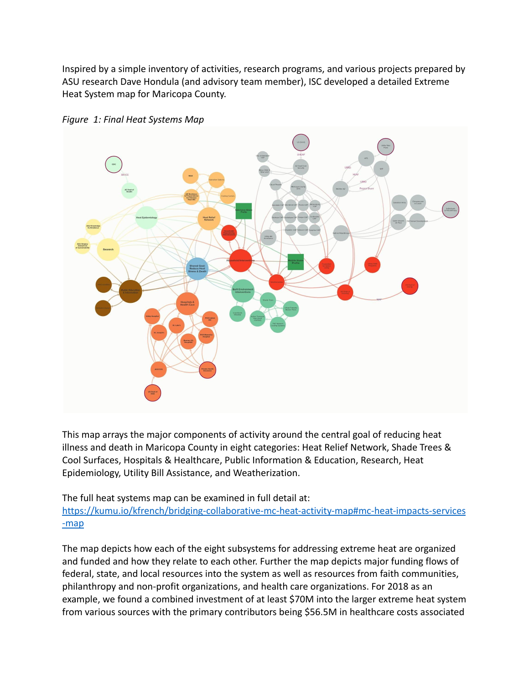Inspired by a simple inventory of activities, research programs, and various projects prepared by ASU research Dave Hondula (and advisory team member), ISC developed a detailed Extreme Heat System map for Maricopa County.



*Figure 1: Final Heat Systems Map*

This map arrays the major components of activity around the central goal of reducing heat illness and death in Maricopa County in eight categories: Heat Relief Network, Shade Trees & Cool Surfaces, Hospitals & Healthcare, Public Information & Education, Research, Heat Epidemiology, Utility Bill Assistance, and Weatherization.

The full heat systems map can be examined in full detail at:

[https://kumu.io/kfrench/bridging-collaborative-mc-heat-activity-map#mc-heat-impacts-services](https://kumu.io/kfrench/bridging-collaborative-mc-heat-activity-map#mc-heat-impacts-services-map) [-map](https://kumu.io/kfrench/bridging-collaborative-mc-heat-activity-map#mc-heat-impacts-services-map)

The map depicts how each of the eight subsystems for addressing extreme heat are organized and funded and how they relate to each other. Further the map depicts major funding flows of federal, state, and local resources into the system as well as resources from faith communities, philanthropy and non-profit organizations, and health care organizations. For 2018 as an example, we found a combined investment of at least \$70M into the larger extreme heat system from various sources with the primary contributors being \$56.5M in healthcare costs associated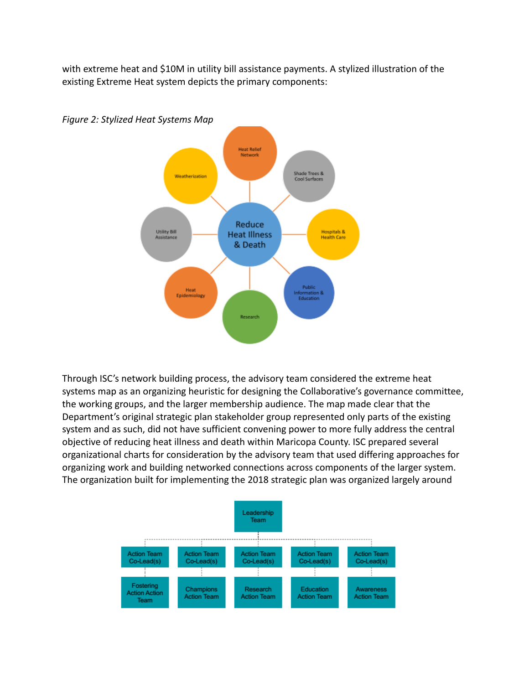with extreme heat and \$10M in utility bill assistance payments. A stylized illustration of the existing Extreme Heat system depicts the primary components:



*Figure 2: Stylized Heat Systems Map*

Through ISC's network building process, the advisory team considered the extreme heat systems map as an organizing heuristic for designing the Collaborative's governance committee, the working groups, and the larger membership audience. The map made clear that the Department's original strategic plan stakeholder group represented only parts of the existing system and as such, did not have sufficient convening power to more fully address the central objective of reducing heat illness and death within Maricopa County. ISC prepared several organizational charts for consideration by the advisory team that used differing approaches for organizing work and building networked connections across components of the larger system. The organization built for implementing the 2018 strategic plan was organized largely around

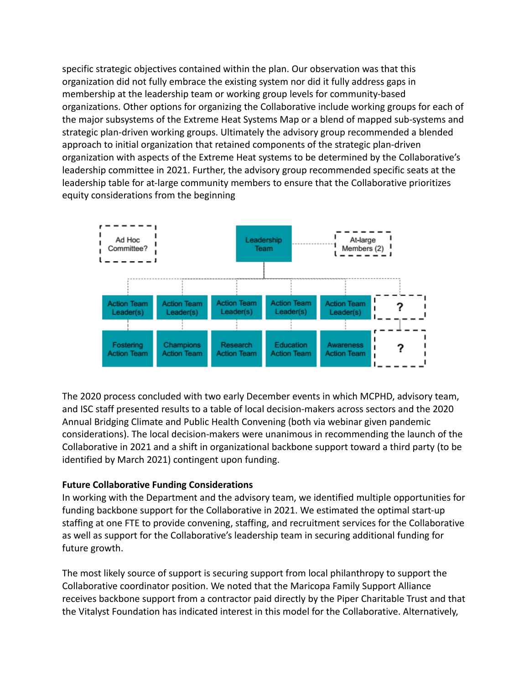specific strategic objectives contained within the plan. Our observation was that this organization did not fully embrace the existing system nor did it fully address gaps in membership at the leadership team or working group levels for community-based organizations. Other options for organizing the Collaborative include working groups for each of the major subsystems of the Extreme Heat Systems Map or a blend of mapped sub-systems and strategic plan-driven working groups. Ultimately the advisory group recommended a blended approach to initial organization that retained components of the strategic plan-driven organization with aspects of the Extreme Heat systems to be determined by the Collaborative's leadership committee in 2021. Further, the advisory group recommended specific seats at the leadership table for at-large community members to ensure that the Collaborative prioritizes equity considerations from the beginning



The 2020 process concluded with two early December events in which MCPHD, advisory team, and ISC staff presented results to a table of local decision-makers across sectors and the 2020 Annual Bridging Climate and Public Health Convening (both via webinar given pandemic considerations). The local decision-makers were unanimous in recommending the launch of the Collaborative in 2021 and a shift in organizational backbone support toward a third party (to be identified by March 2021) contingent upon funding.

#### **Future Collaborative Funding Considerations**

In working with the Department and the advisory team, we identified multiple opportunities for funding backbone support for the Collaborative in 2021. We estimated the optimal start-up staffing at one FTE to provide convening, staffing, and recruitment services for the Collaborative as well as support for the Collaborative's leadership team in securing additional funding for future growth.

The most likely source of support is securing support from local philanthropy to support the Collaborative coordinator position. We noted that the Maricopa Family Support Alliance receives backbone support from a contractor paid directly by the Piper Charitable Trust and that the Vitalyst Foundation has indicated interest in this model for the Collaborative. Alternatively,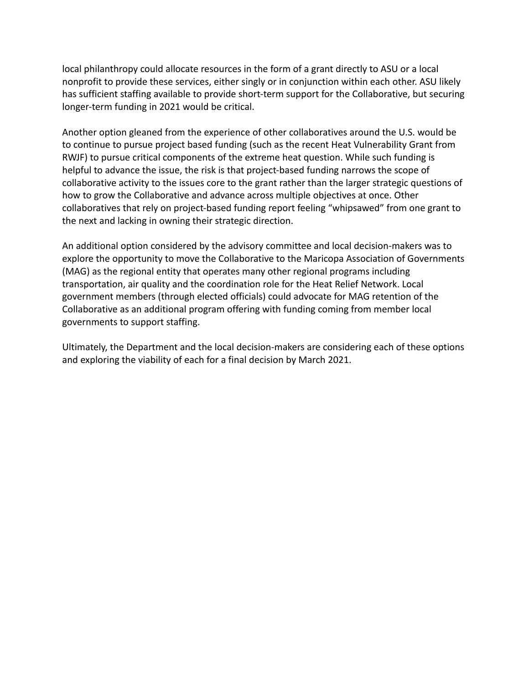local philanthropy could allocate resources in the form of a grant directly to ASU or a local nonprofit to provide these services, either singly or in conjunction within each other. ASU likely has sufficient staffing available to provide short-term support for the Collaborative, but securing longer-term funding in 2021 would be critical.

Another option gleaned from the experience of other collaboratives around the U.S. would be to continue to pursue project based funding (such as the recent Heat Vulnerability Grant from RWJF) to pursue critical components of the extreme heat question. While such funding is helpful to advance the issue, the risk is that project-based funding narrows the scope of collaborative activity to the issues core to the grant rather than the larger strategic questions of how to grow the Collaborative and advance across multiple objectives at once. Other collaboratives that rely on project-based funding report feeling "whipsawed" from one grant to the next and lacking in owning their strategic direction.

An additional option considered by the advisory committee and local decision-makers was to explore the opportunity to move the Collaborative to the Maricopa Association of Governments (MAG) as the regional entity that operates many other regional programs including transportation, air quality and the coordination role for the Heat Relief Network. Local government members (through elected officials) could advocate for MAG retention of the Collaborative as an additional program offering with funding coming from member local governments to support staffing.

Ultimately, the Department and the local decision-makers are considering each of these options and exploring the viability of each for a final decision by March 2021.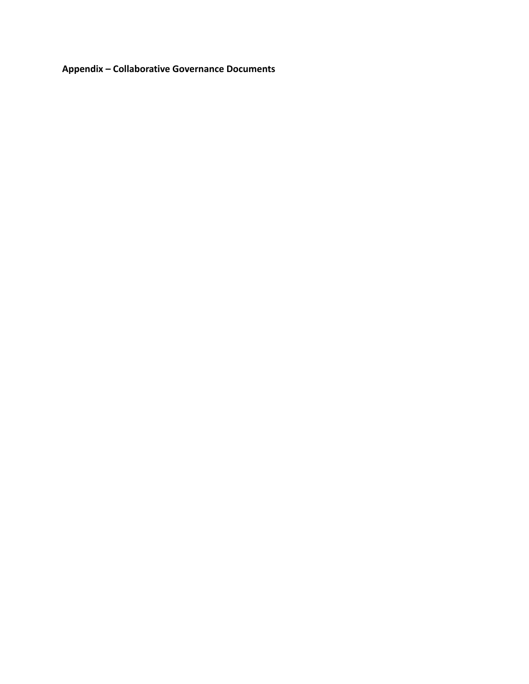**Appendix – Collaborative Governance Documents**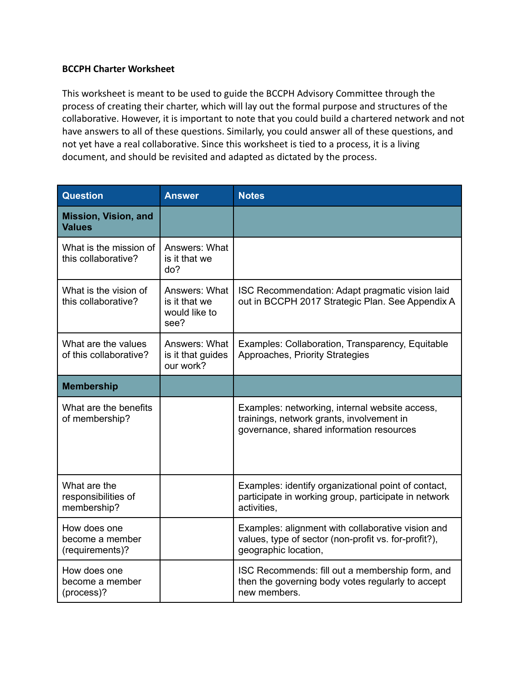#### **BCCPH Charter Worksheet**

This worksheet is meant to be used to guide the BCCPH Advisory Committee through the process of creating their charter, which will lay out the formal purpose and structures of the collaborative. However, it is important to note that you could build a chartered network and not have answers to all of these questions. Similarly, you could answer all of these questions, and not yet have a real collaborative. Since this worksheet is tied to a process, it is a living document, and should be revisited and adapted as dictated by the process.

| <b>Question</b>                                    | <b>Answer</b>                                           | <b>Notes</b>                                                                                                                            |
|----------------------------------------------------|---------------------------------------------------------|-----------------------------------------------------------------------------------------------------------------------------------------|
| <b>Mission, Vision, and</b><br><b>Values</b>       |                                                         |                                                                                                                                         |
| What is the mission of<br>this collaborative?      | Answers: What<br>is it that we<br>do?                   |                                                                                                                                         |
| What is the vision of<br>this collaborative?       | Answers: What<br>is it that we<br>would like to<br>see? | ISC Recommendation: Adapt pragmatic vision laid<br>out in BCCPH 2017 Strategic Plan. See Appendix A                                     |
| What are the values<br>of this collaborative?      | Answers: What<br>is it that guides<br>our work?         | Examples: Collaboration, Transparency, Equitable<br>Approaches, Priority Strategies                                                     |
| <b>Membership</b>                                  |                                                         |                                                                                                                                         |
| What are the benefits<br>of membership?            |                                                         | Examples: networking, internal website access,<br>trainings, network grants, involvement in<br>governance, shared information resources |
| What are the<br>responsibilities of<br>membership? |                                                         | Examples: identify organizational point of contact,<br>participate in working group, participate in network<br>activities,              |
| How does one<br>become a member<br>(requirements)? |                                                         | Examples: alignment with collaborative vision and<br>values, type of sector (non-profit vs. for-profit?),<br>geographic location,       |
| How does one<br>become a member<br>(process)?      |                                                         | ISC Recommends: fill out a membership form, and<br>then the governing body votes regularly to accept<br>new members.                    |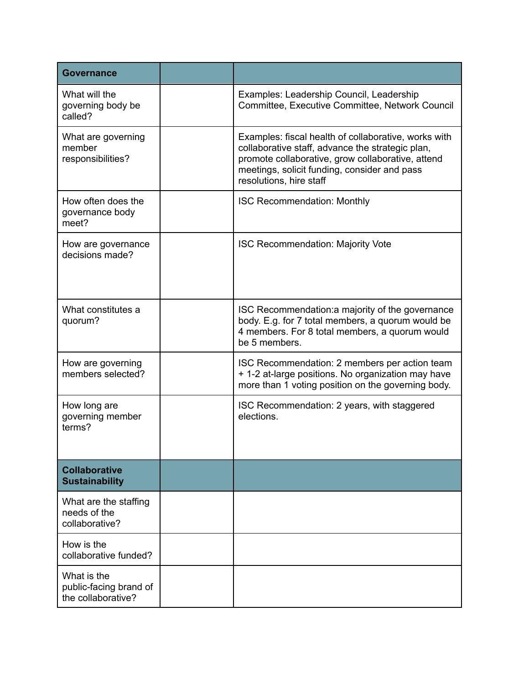| Governance                                                  |                                                                                                                                                                                                                                          |
|-------------------------------------------------------------|------------------------------------------------------------------------------------------------------------------------------------------------------------------------------------------------------------------------------------------|
| What will the<br>governing body be<br>called?               | Examples: Leadership Council, Leadership<br>Committee, Executive Committee, Network Council                                                                                                                                              |
| What are governing<br>member<br>responsibilities?           | Examples: fiscal health of collaborative, works with<br>collaborative staff, advance the strategic plan,<br>promote collaborative, grow collaborative, attend<br>meetings, solicit funding, consider and pass<br>resolutions, hire staff |
| How often does the<br>governance body<br>meet?              | <b>ISC Recommendation: Monthly</b>                                                                                                                                                                                                       |
| How are governance<br>decisions made?                       | <b>ISC Recommendation: Majority Vote</b>                                                                                                                                                                                                 |
| What constitutes a<br>quorum?                               | ISC Recommendation: a majority of the governance<br>body. E.g. for 7 total members, a quorum would be<br>4 members. For 8 total members, a quorum would<br>be 5 members.                                                                 |
| How are governing<br>members selected?                      | ISC Recommendation: 2 members per action team<br>+ 1-2 at-large positions. No organization may have<br>more than 1 voting position on the governing body.                                                                                |
| How long are<br>governing member<br>terms?                  | ISC Recommendation: 2 years, with staggered<br>elections.                                                                                                                                                                                |
| <b>Collaborative</b><br><b>Sustainability</b>               |                                                                                                                                                                                                                                          |
| What are the staffing<br>needs of the<br>collaborative?     |                                                                                                                                                                                                                                          |
| How is the<br>collaborative funded?                         |                                                                                                                                                                                                                                          |
| What is the<br>public-facing brand of<br>the collaborative? |                                                                                                                                                                                                                                          |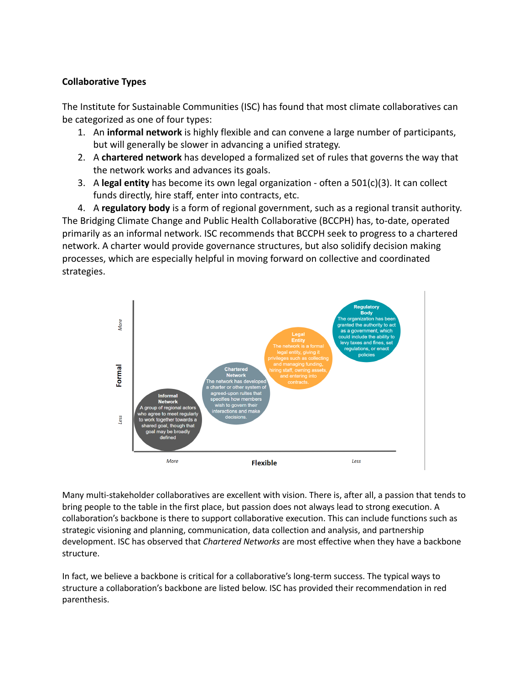#### **Collaborative Types**

The Institute for Sustainable Communities (ISC) has found that most climate collaboratives can be categorized as one of four types:

- 1. An **informal network** is highly flexible and can convene a large number of participants, but will generally be slower in advancing a unified strategy.
- 2. A **chartered network** has developed a formalized set of rules that governs the way that the network works and advances its goals.
- 3. A **legal entity** has become its own legal organization often a 501(c)(3). It can collect funds directly, hire staff, enter into contracts, etc.

4. A **regulatory body** is a form of regional government, such as a regional transit authority. The Bridging Climate Change and Public Health Collaborative (BCCPH) has, to-date, operated primarily as an informal network. ISC recommends that BCCPH seek to progress to a chartered network. A charter would provide governance structures, but also solidify decision making processes, which are especially helpful in moving forward on collective and coordinated strategies.



Many multi-stakeholder collaboratives are excellent with vision. There is, after all, a passion that tends to bring people to the table in the first place, but passion does not always lead to strong execution. A collaboration's backbone is there to support collaborative execution. This can include functions such as strategic visioning and planning, communication, data collection and analysis, and partnership development. ISC has observed that *Chartered Networks* are most effective when they have a backbone structure.

In fact, we believe a backbone is critical for a collaborative's long-term success. The typical ways to structure a collaboration's backbone are listed below. ISC has provided their recommendation in red parenthesis.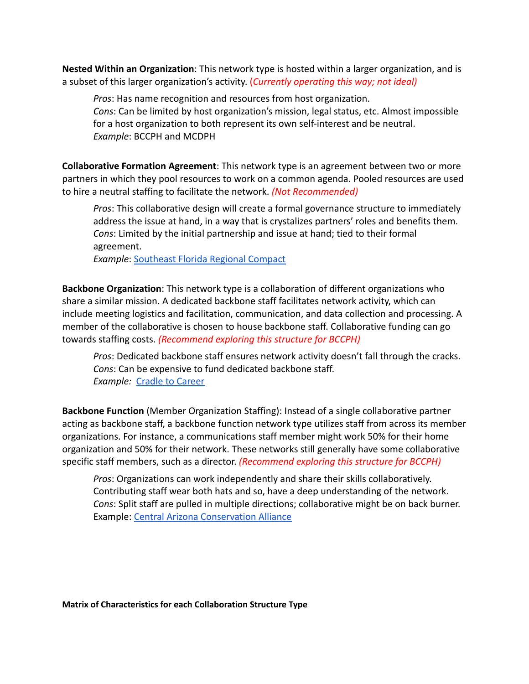**Nested Within an Organization**: This network type is hosted within a larger organization, and is a subset of this larger organization's activity. (*Currently operating this way; not ideal)*

*Pros*: Has name recognition and resources from host organization. *Cons*: Can be limited by host organization's mission, legal status, etc. Almost impossible for a host organization to both represent its own self-interest and be neutral. *Example*: BCCPH and MCDPH

**Collaborative Formation Agreement**: This network type is an agreement between two or more partners in which they pool resources to work on a common agenda. Pooled resources are used to hire a neutral staffing to facilitate the network. *(Not Recommended)*

*Pros*: This collaborative design will create a formal governance structure to immediately address the issue at hand, in a way that is crystalizes partners' roles and benefits them. *Cons*: Limited by the initial partnership and issue at hand; tied to their formal agreement.

*Example*: [Southeast Florida Regional Compact](https://southeastfloridaclimatecompact.org/)

**Backbone Organization**: This network type is a collaboration of different organizations who share a similar mission. A dedicated backbone staff facilitates network activity, which can include meeting logistics and facilitation, communication, and data collection and processing. A member of the collaborative is chosen to house backbone staff. Collaborative funding can go towards staffing costs. *(Recommend exploring this structure for BCCPH)*

*Pros*: Dedicated backbone staff ensures network activity doesn't fall through the cracks. *Cons*: Can be expensive to fund dedicated backbone staff. **Example: [Cradle to Career](https://www.c2cpima.org/)** 

**Backbone Function** (Member Organization Staffing): Instead of a single collaborative partner acting as backbone staff, a backbone function network type utilizes staff from across its member organizations. For instance, a communications staff member might work 50% for their home organization and 50% for their network. These networks still generally have some collaborative specific staff members, such as a director. *(Recommend exploring this structure for BCCPH)*

*Pros*: Organizations can work independently and share their skills collaboratively. Contributing staff wear both hats and so, have a deep understanding of the network. *Cons*: Split staff are pulled in multiple directions; collaborative might be on back burner. Example: [Central Arizona Conservation Alliance](https://cazca.org/)

**Matrix of Characteristics for each Collaboration Structure Type**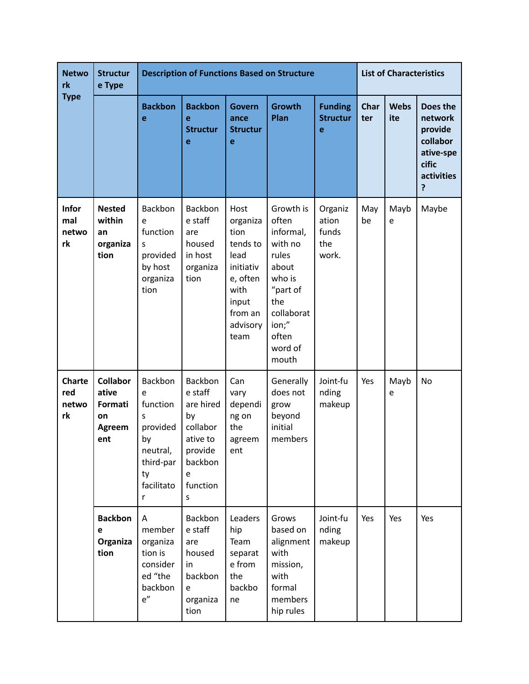| <b>Netwo</b><br>rk<br><b>Type</b>   | <b>Structur</b><br>e Type                                  | <b>Description of Functions Based on Structure</b>                                                |                                                                                                           |                                                                                                                       |                                                                                                                                               |                                           | <b>List of Characteristics</b> |                    |                                                                                     |
|-------------------------------------|------------------------------------------------------------|---------------------------------------------------------------------------------------------------|-----------------------------------------------------------------------------------------------------------|-----------------------------------------------------------------------------------------------------------------------|-----------------------------------------------------------------------------------------------------------------------------------------------|-------------------------------------------|--------------------------------|--------------------|-------------------------------------------------------------------------------------|
|                                     |                                                            | <b>Backbon</b><br>e                                                                               | <b>Backbon</b><br>e<br><b>Structur</b><br>e                                                               | <b>Govern</b><br>ance<br><b>Structur</b><br>e                                                                         | <b>Growth</b><br>Plan                                                                                                                         | <b>Funding</b><br><b>Structur</b><br>e    | Char<br>ter                    | <b>Webs</b><br>ite | Does the<br>network<br>provide<br>collabor<br>ative-spe<br>cific<br>activities<br>? |
| <b>Infor</b><br>mal<br>netwo<br>rk  | <b>Nested</b><br>within<br>an<br>organiza<br>tion          | Backbon<br>e<br>function<br>S<br>provided<br>by host<br>organiza<br>tion                          | Backbon<br>e staff<br>are<br>housed<br>in host<br>organiza<br>tion                                        | Host<br>organiza<br>tion<br>tends to<br>lead<br>initiativ<br>e, often<br>with<br>input<br>from an<br>advisory<br>team | Growth is<br>often<br>informal,<br>with no<br>rules<br>about<br>who is<br>"part of<br>the<br>collaborat<br>ion;"<br>often<br>word of<br>mouth | Organiz<br>ation<br>funds<br>the<br>work. | May<br>be                      | Mayb<br>e          | Maybe                                                                               |
| <b>Charte</b><br>red<br>netwo<br>rk | <b>Collabor</b><br>ative<br>Formati<br>on<br>Agreem<br>ent | Backbon<br>e<br>function<br>S<br>provided<br>by<br>neutral,<br>third-par<br>ty<br>facilitato<br>r | Backbon<br>e staff<br>are hired<br>by<br>collabor<br>ative to<br>provide<br>backbon<br>e<br>function<br>S | Can<br>vary<br>dependi<br>ng on<br>the<br>agreem<br>ent                                                               | Generally<br>does not<br>grow<br>beyond<br>initial<br>members                                                                                 | Joint-fu<br>nding<br>makeup               | Yes                            | Mayb<br>e          | No                                                                                  |
|                                     | <b>Backbon</b><br>e<br>Organiza<br>tion                    | A<br>member<br>organiza<br>tion is<br>consider<br>ed "the<br>backbon<br>e''                       | Backbon<br>e staff<br>are<br>housed<br>in<br>backbon<br>e<br>organiza<br>tion                             | Leaders<br>hip<br>Team<br>separat<br>e from<br>the<br>backbo<br>ne                                                    | Grows<br>based on<br>alignment<br>with<br>mission,<br>with<br>formal<br>members<br>hip rules                                                  | Joint-fu<br>nding<br>makeup               | Yes                            | Yes                | Yes                                                                                 |